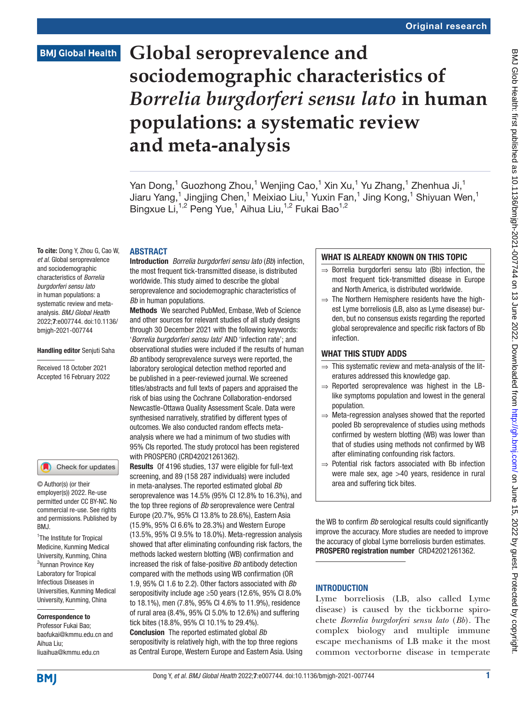# **Global seroprevalence and sociodemographic characteristics of**  *Borrelia burgdorferi sensu lato* **in human populations: a systematic review and meta-analysis**

Yan Dong,<sup>1</sup> Guozhong Zhou,<sup>1</sup> Wenjing Cao,<sup>1</sup> Xin Xu,<sup>1</sup> Yu Zhang,<sup>1</sup> Zhenhua Ji,<sup>1</sup> Jiaru Yang,<sup>1</sup> Jingjing Chen,<sup>1</sup> Meixiao Liu,<sup>1</sup> Yuxin Fan,<sup>1</sup> Jing Kong,<sup>1</sup> Shiyuan Wen,<sup>1</sup> Bingxue Li,<sup>1,2</sup> Peng Yue,<sup>1</sup> Aihua Liu,<sup>1,2</sup> Fukai Bao<sup>1,2</sup>

#### **ABSTRACT**

To cite: Dong Y, Zhou G, Cao W, *et al*. Global seroprevalence and sociodemographic characteristics of *Borrelia burgdorferi sensu lato* in human populations: a systematic review and metaanalysis. *BMJ Global Health* 2022;7:e007744. doi:10.1136/ bmjgh-2021-007744

#### Handling editor Senjuti Saha

Received 18 October 2021 Accepted 16 February 2022

Check for updates

© Author(s) (or their employer(s)) 2022. Re-use permitted under CC BY-NC. No commercial re-use. See rights and permissions. Published by RM<sub>J</sub>

<sup>1</sup>The Institute for Tropical Medicine, Kunming Medical University, Kunming, China <sup>2</sup>Yunnan Province Key Laboratory for Tropical Infectious Diseases in Universities, Kunming Medical University, Kunming, China

Correspondence to Professor Fukai Bao; baofukai@kmmu.edu.cn and Aihua Liu; liuaihua@kmmu.edu.cn

Introduction *Borrelia burgdorferi sensu lato* (*Bb*) infection, the most frequent tick-transmitted disease, is distributed worldwide. This study aimed to describe the global seroprevalence and sociodemographic characteristics of *Bb* in human populations.

Methods We searched PubMed, Embase, Web of Science and other sources for relevant studies of all study designs through 30 December 2021 with the following keywords: '*Borrelia burgdorferi sensu lato*' AND 'infection rate'; and observational studies were included if the results of human *Bb* antibody seroprevalence surveys were reported, the laboratory serological detection method reported and be published in a peer-reviewed journal. We screened titles/abstracts and full texts of papers and appraised the risk of bias using the Cochrane Collaboration-endorsed Newcastle-Ottawa Quality Assessment Scale. Data were synthesised narratively, stratified by different types of outcomes. We also conducted random effects metaanalysis where we had a minimum of two studies with 95% CIs reported. The study protocol has been registered with PROSPERO (CRD42021261362).

Results Of 4196 studies, 137 were eligible for full-text screening, and 89 (158 287 individuals) were included in meta-analyses. The reported estimated global *Bb* seroprevalence was 14.5% (95% CI 12.8% to 16.3%), and the top three regions of *Bb* seroprevalence were Central Europe (20.7%, 95% CI 13.8% to 28.6%), Eastern Asia (15.9%, 95% CI 6.6% to 28.3%) and Western Europe (13.5%, 95% CI 9.5% to 18.0%). Meta-regression analysis showed that after eliminating confounding risk factors, the methods lacked western blotting (WB) confirmation and increased the risk of false-positive *Bb* antibody detection compared with the methods using WB confirmation (OR 1.9, 95% CI 1.6 to 2.2). Other factors associated with *Bb* seropositivity include age ≥50 years (12.6%, 95% CI 8.0% to 18.1%), men (7.8%, 95% CI 4.6% to 11.9%), residence of rural area (8.4%, 95% CI 5.0% to 12.6%) and suffering tick bites (18.8%, 95% CI 10.1% to 29.4%). Conclusion The reported estimated global *Bb*

seropositivity is relatively high, with the top three regions as Central Europe, Western Europe and Eastern Asia. Using

#### WHAT IS ALREADY KNOWN ON THIS TOPIC

- ⇒ Borrelia burgdorferi sensu lato (Bb) infection, the most frequent tick-transmitted disease in Europe and North America, is distributed worldwide.
- $\Rightarrow$  The Northern Hemisphere residents have the highest Lyme borreliosis (LB, also as Lyme disease) burden, but no consensus exists regarding the reported global seroprevalence and specific risk factors of Bb infection.

#### WHAT THIS STUDY ADDS

- $\Rightarrow$  This systematic review and meta-analysis of the literatures addressed this knowledge gap.
- $\Rightarrow$  Reported seroprevalence was highest in the LBlike symptoms population and lowest in the general population.
- ⇒ Meta-regression analyses showed that the reported pooled Bb seroprevalence of studies using methods confirmed by western blotting (WB) was lower than that of studies using methods not confirmed by WB after eliminating confounding risk factors.
- ⇒ Potential risk factors associated with Bb infection were male sex, age >40 years, residence in rural area and suffering tick bites.

the WB to confirm *Bb* serological results could significantly improve the accuracy. More studies are needed to improve the accuracy of global Lyme borreliosis burden estimates. PROSPERO registration number CRD42021261362.

## **INTRODUCTION**

Lyme borreliosis (LB, also called Lyme disease) is caused by the tickborne spirochete *Borrelia burgdorferi sensu lato* (*Bb*). The complex biology and multiple immune escape mechanisms of LB make it the most common vectorborne disease in temperate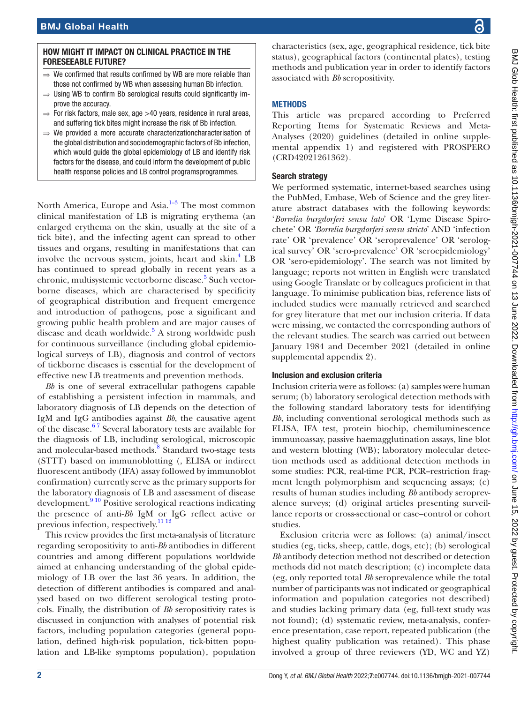#### HOW MIGHT IT IMPACT ON CLINICAL PRACTICE IN THE FORESEEABLE FUTURE?

- We confirmed that results confirmed by WB are more reliable than those not confirmed by WB when assessing human Bb infection.
- ⇒ Using WB to confirm Bb serological results could significantly improve the accuracy.
- $\Rightarrow$  For risk factors, male sex, age  $>$ 40 years, residence in rural areas, and suffering tick bites might increase the risk of Bb infection.
- ⇒ We provided a more accurate characterizationcharacterisation of the global distribution and sociodemographic factors of Bb infection, which would guide the global epidemiology of LB and identify risk factors for the disease, and could inform the development of public health response policies and LB control programsprogrammes.

North America, Europe and Asia. $1-3$  The most common clinical manifestation of LB is migrating erythema (an enlarged erythema on the skin, usually at the site of a tick bite), and the infecting agent can spread to other tissues and organs, resulting in manifestations that can involve the nervous system, joints, heart and skin.<sup>[4](#page-9-1)</sup> LB has continued to spread globally in recent years as a chronic, multisystemic vectorborne disease.<sup>[5](#page-9-2)</sup> Such vectorborne diseases, which are characterised by specificity of geographical distribution and frequent emergence and introduction of pathogens, pose a significant and growing public health problem and are major causes of disease and death worldwide.<sup>[5](#page-9-2)</sup> A strong worldwide push for continuous surveillance (including global epidemiological surveys of LB), diagnosis and control of vectors of tickborne diseases is essential for the development of effective new LB treatments and prevention methods.

*Bb* is one of several extracellular pathogens capable of establishing a persistent infection in mammals, and laboratory diagnosis of LB depends on the detection of IgM and IgG antibodies against *Bb*, the causative agent of the disease. $67$  Several laboratory tests are available for the diagnosis of LB, including serological, microscopic and molecular-based methods.<sup>[8](#page-9-4)</sup> Standard two-stage tests (STTT) based on immunoblotting (, ELISA or indirect fluorescent antibody (IFA) assay followed by immunoblot confirmation) currently serve as the primary supports for the laboratory diagnosis of LB and assessment of disease development.<sup>9 10</sup> Positive serological reactions indicating the presence of anti-*Bb* IgM or IgG reflect active or previous infection, respectively.[11 12](#page-9-6)

This review provides the first meta-analysis of literature regarding seropositivity to anti-*Bb* antibodies in different countries and among different populations worldwide aimed at enhancing understanding of the global epidemiology of LB over the last 36 years. In addition, the detection of different antibodies is compared and analysed based on two different serological testing protocols. Finally, the distribution of *Bb* seropositivity rates is discussed in conjunction with analyses of potential risk factors, including population categories (general population, defined high-risk population, tick-bitten population and LB-like symptoms population), population

characteristics (sex, age, geographical residence, tick bite status), geographical factors (continental plates), testing methods and publication year in order to identify factors associated with *Bb* seropositivity.

#### **METHODS**

This article was prepared according to Preferred Reporting Items for Systematic Reviews and Meta-Analyses (2020) guidelines (detailed in [online supple](https://dx.doi.org/10.1136/bmjgh-2021-007744)[mental appendix 1](https://dx.doi.org/10.1136/bmjgh-2021-007744)) and registered with PROSPERO (CRD42021261362).

#### Search strategy

We performed systematic, internet-based searches using the PubMed, Embase, Web of Science and the grey literature abstract databases with the following keywords: '*Borrelia burgdorferi sensu lato*' OR 'Lyme Disease Spirochete' OR *'Borrelia burgdorferi sensu stricto*' AND 'infection rate' OR 'prevalence' OR 'seroprevalence' OR 'serological survey' OR 'sero-prevalence' OR 'seroepidemiology' OR 'sero-epidemiology'. The search was not limited by language; reports not written in English were translated using Google Translate or by colleagues proficient in that language. To minimise publication bias, reference lists of included studies were manually retrieved and searched for grey literature that met our inclusion criteria. If data were missing, we contacted the corresponding authors of the relevant studies. The search was carried out between January 1984 and December 2021 (detailed in [online](https://dx.doi.org/10.1136/bmjgh-2021-007744) [supplemental appendix 2\)](https://dx.doi.org/10.1136/bmjgh-2021-007744).

#### Inclusion and exclusion criteria

Inclusion criteria were as follows: (a) samples were human serum; (b) laboratory serological detection methods with the following standard laboratory tests for identifying *Bb*, including conventional serological methods such as ELISA, IFA test, protein biochip, chemiluminescence immunoassay, passive haemagglutination assays, line blot and western blotting (WB); laboratory molecular detection methods used as additional detection methods in some studies: PCR, real-time PCR, PCR–restriction fragment length polymorphism and sequencing assays; (c) results of human studies including *Bb* antibody seroprevalence surveys; (d) original articles presenting surveillance reports or cross-sectional or case–control or cohort studies.

Exclusion criteria were as follows: (a) animal/insect studies (eg, ticks, sheep, cattle, dogs, etc); (b) serological *Bb* antibody detection method not described or detection methods did not match description; (c) incomplete data (eg, only reported total *Bb* seroprevalence while the total number of participants was not indicated or geographical information and population categories not described) and studies lacking primary data (eg, full-text study was not found); (d) systematic review, meta-analysis, conference presentation, case report, repeated publication (the highest quality publication was retained). This phase involved a group of three reviewers (YD, WC and YZ)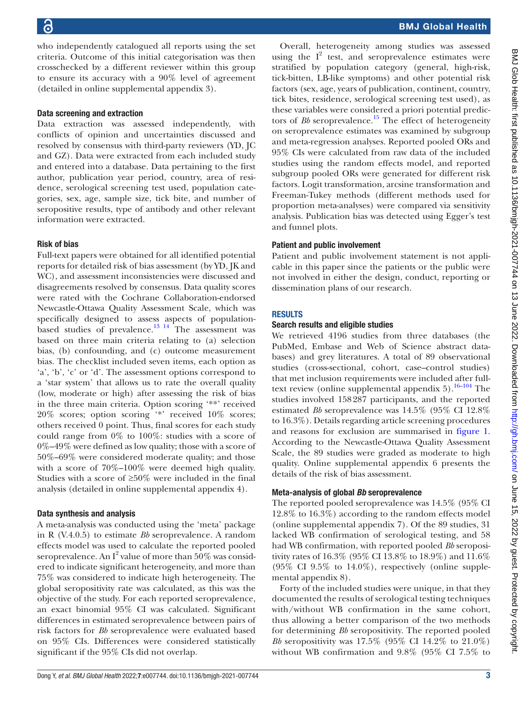who independently catalogued all reports using the set criteria. Outcome of this initial categorisation was then crosschecked by a different reviewer within this group to ensure its accuracy with a 90% level of agreement (detailed in [online supplemental appendix 3](https://dx.doi.org/10.1136/bmjgh-2021-007744)).

## Data screening and extraction

Data extraction was assessed independently, with conflicts of opinion and uncertainties discussed and resolved by consensus with third-party reviewers (YD, JC and GZ). Data were extracted from each included study and entered into a database. Data pertaining to the first author, publication year period, country, area of residence, serological screening test used, population categories, sex, age, sample size, tick bite, and number of seropositive results, type of antibody and other relevant information were extracted.

## Risk of bias

Full-text papers were obtained for all identified potential reports for detailed risk of bias assessment (by YD, JK and WC), and assessment inconsistencies were discussed and disagreements resolved by consensus. Data quality scores were rated with the Cochrane Collaboration-endorsed Newcastle-Ottawa Quality Assessment Scale, which was specifically designed to assess aspects of populationbased studies of prevalence. $^{13}$  <sup>14</sup> The assessment was based on three main criteria relating to (a) selection bias, (b) confounding, and (c) outcome measurement bias. The checklist included seven items, each option as 'a', 'b', 'c' or 'd'. The assessment options correspond to a 'star system' that allows us to rate the overall quality (low, moderate or high) after assessing the risk of bias in the three main criteria. Option scoring '\*\*' received 20% scores; option scoring '\*' received 10% scores; others received 0 point. Thus, final scores for each study could range from 0% to 100%: studies with a score of 0%–49% were defined as low quality; those with a score of 50%–69% were considered moderate quality; and those with a score of 70%–100% were deemed high quality. Studies with a score of  $\geq 50\%$  were included in the final analysis (detailed in [online supplemental appendix 4](https://dx.doi.org/10.1136/bmjgh-2021-007744)).

## Data synthesis and analysis

A meta-analysis was conducted using the 'meta' package in R (V.4.0.5) to estimate *Bb* seroprevalence. A random effects model was used to calculate the reported pooled seroprevalence. An  $I^2$  value of more than  $50\%$  was considered to indicate significant heterogeneity, and more than 75% was considered to indicate high heterogeneity. The global seropositivity rate was calculated, as this was the objective of the study. For each reported seroprevalence, an exact binomial 95% CI was calculated. Significant differences in estimated seroprevalence between pairs of risk factors for *Bb* seroprevalence were evaluated based on 95% CIs. Differences were considered statistically significant if the 95% CIs did not overlap.

Overall, heterogeneity among studies was assessed using the  $I^2$  test, and seroprevalence estimates were stratified by population category (general, high-risk, tick-bitten, LB-like symptoms) and other potential risk factors (sex, age, years of publication, continent, country, tick bites, residence, serological screening test used), as these variables were considered a priori potential predictors of *Bb* seroprevalence.<sup>[15](#page-9-8)</sup> The effect of heterogeneity on seroprevalence estimates was examined by subgroup and meta-regression analyses. Reported pooled ORs and 95% CIs were calculated from raw data of the included studies using the random effects model, and reported subgroup pooled ORs were generated for different risk factors. Logit transformation, arcsine transformation and Freeman-Tukey methods (different methods used for proportion meta-analyses) were compared via sensitivity analysis. Publication bias was detected using Egger's test and funnel plots.

#### Patient and public involvement

Patient and public involvement statement is not applicable in this paper since the patients or the public were not involved in either the design, conduct, reporting or dissemination plans of our research.

## **RESULTS**

## Search results and eligible studies

We retrieved 4196 studies from three databases (the PubMed, Embase and Web of Science abstract databases) and grey literatures. A total of 89 observational studies (cross-sectional, cohort, case–control studies) that met inclusion requirements were included after fulltext review (online supplemental appendix  $5$ ).<sup>16–104</sup> The studies involved 158287 participants, and the reported estimated *Bb* seroprevalence was 14.5% (95% CI 12.8% to 16.3%). Details regarding article screening procedures and reasons for exclusion are summarised in [figure](#page-3-0) 1. According to the Newcastle-Ottawa Quality Assessment Scale, the 89 studies were graded as moderate to high quality. [Online supplemental appendix 6](https://dx.doi.org/10.1136/bmjgh-2021-007744) presents the details of the risk of bias assessment.

## Meta-analysis of global *Bb* seroprevalence

The reported pooled seroprevalence was 14.5% (95% CI 12.8% to 16.3%) according to the random effects model [\(online supplemental appendix 7](https://dx.doi.org/10.1136/bmjgh-2021-007744)). Of the 89 studies, 31 lacked WB confirmation of serological testing, and 58 had WB confirmation, with reported pooled *Bb* seropositivity rates of 16.3% (95% CI 13.8% to 18.9%) and 11.6% (95% CI 9.5% to 14.0%), respectively [\(online supple](https://dx.doi.org/10.1136/bmjgh-2021-007744)[mental appendix 8\)](https://dx.doi.org/10.1136/bmjgh-2021-007744).

Forty of the included studies were unique, in that they documented the results of serological testing techniques with/without WB confirmation in the same cohort, thus allowing a better comparison of the two methods for determining *Bb* seropositivity. The reported pooled *Bb* seropositivity was 17.5% (95% CI 14.2% to 21.0%) without WB confirmation and 9.8% (95% CI 7.5% to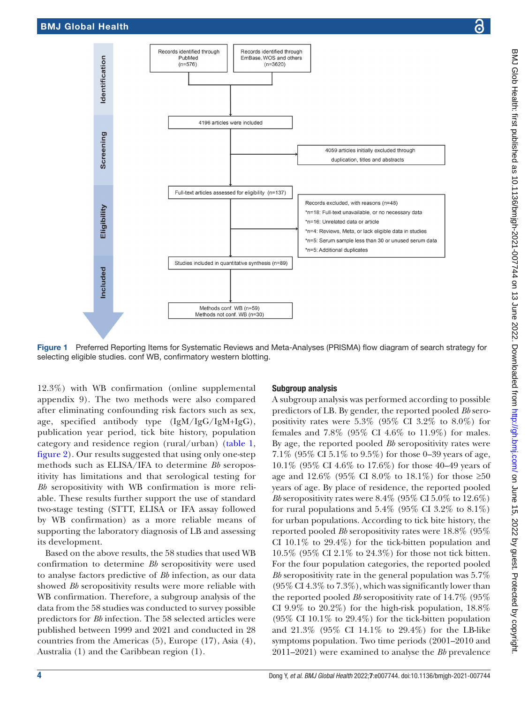

Records identified through

Records identified through

<span id="page-3-0"></span>Figure 1 Preferred Reporting Items for Systematic Reviews and Meta-Analyses (PRISMA) flow diagram of search strategy for selecting eligible studies. conf WB, confirmatory western blotting.

12.3%) with WB confirmation ([online supplemental](https://dx.doi.org/10.1136/bmjgh-2021-007744)  [appendix 9\)](https://dx.doi.org/10.1136/bmjgh-2021-007744). The two methods were also compared after eliminating confounding risk factors such as sex, age, specified antibody type (IgM/IgG/IgM+IgG), publication year period, tick bite history, population category and residence region (rural/urban) ([table](#page-4-0) 1, [figure](#page-5-0) 2). Our results suggested that using only one-step methods such as ELISA/IFA to determine *Bb* seropositivity has limitations and that serological testing for *Bb* seropositivity with WB confirmation is more reliable. These results further support the use of standard two-stage testing (STTT, ELISA or IFA assay followed by WB confirmation) as a more reliable means of supporting the laboratory diagnosis of LB and assessing its development.

Based on the above results, the 58 studies that used WB confirmation to determine *Bb* seropositivity were used to analyse factors predictive of *Bb* infection, as our data showed *Bb* seropositivity results were more reliable with WB confirmation. Therefore, a subgroup analysis of the data from the 58 studies was conducted to survey possible predictors for *Bb* infection. The 58 selected articles were published between 1999 and 2021 and conducted in 28 countries from the Americas (5), Europe (17), Asia (4), Australia (1) and the Caribbean region (1).

#### Subgroup analysis

A subgroup analysis was performed according to possible predictors of LB. By gender, the reported pooled *Bb* seropositivity rates were 5.3% (95% CI 3.2% to 8.0%) for females and 7.8% (95% CI 4.6% to 11.9%) for males. By age, the reported pooled *Bb* seropositivity rates were 7.1% (95% CI 5.1% to 9.5%) for those 0–39 years of age, 10.1% (95% CI 4.6% to 17.6%) for those 40–49 years of age and 12.6% (95% CI 8.0% to 18.1%) for those  $\geq 50$ years of age. By place of residence, the reported pooled *Bb* seropositivity rates were 8.4% (95% CI 5.0% to 12.6%) for rural populations and  $5.4\%$  (95% CI 3.2% to  $8.1\%$ ) for urban populations. According to tick bite history, the reported pooled *Bb* seropositivity rates were 18.8% (95% CI 10.1% to 29.4%) for the tick-bitten population and 10.5% (95% CI 2.1% to 24.3%) for those not tick bitten. For the four population categories, the reported pooled *Bb* seropositivity rate in the general population was 5.7% (95% CI 4.3% to 7.3%), which was significantly lower than the reported pooled *Bb* seropositivity rate of 14.7% (95% CI 9.9% to 20.2%) for the high-risk population, 18.8% (95% CI 10.1% to 29.4%) for the tick-bitten population and 21.3% (95% CI 14.1% to 29.4%) for the LB-like symptoms population. Two time periods (2001–2010 and 2011–2021) were examined to analyse the *Bb* prevalence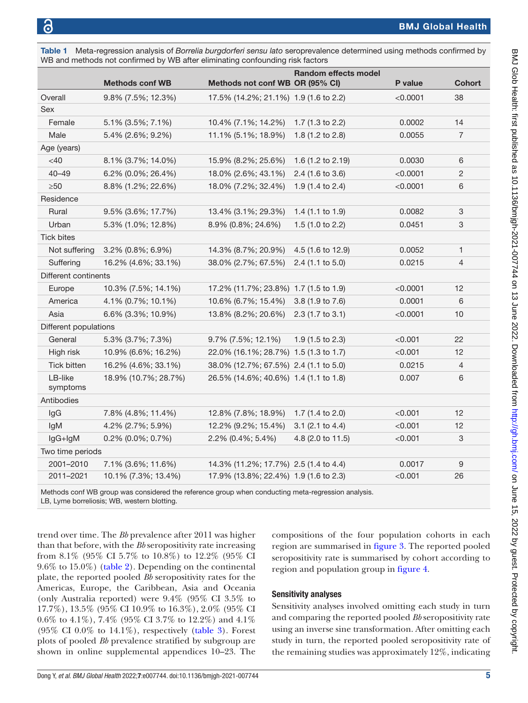|                       | WB and methods not confirmed by WB after eliminating confounding risk factors |                                       |                             |          |                |
|-----------------------|-------------------------------------------------------------------------------|---------------------------------------|-----------------------------|----------|----------------|
|                       | <b>Methods conf WB</b>                                                        | Methods not conf WB OR (95% CI)       | <b>Random effects model</b> | P value  | <b>Cohort</b>  |
| Overall               | 9.8% (7.5%; 12.3%)                                                            | 17.5% (14.2%; 21.1%) 1.9 (1.6 to 2.2) |                             | < 0.0001 | 38             |
| Sex                   |                                                                               |                                       |                             |          |                |
| Female                | 5.1% (3.5%; 7.1%)                                                             | 10.4% (7.1%; 14.2%)                   | 1.7 (1.3 to 2.2)            | 0.0002   | 14             |
| Male                  | 5.4% (2.6%; 9.2%)                                                             | 11.1% (5.1%; 18.9%)                   | 1.8 (1.2 to 2.8)            | 0.0055   | $\overline{7}$ |
| Age (years)           |                                                                               |                                       |                             |          |                |
| <40                   | 8.1% (3.7%; 14.0%)                                                            | 15.9% (8.2%; 25.6%)                   | 1.6 (1.2 to 2.19)           | 0.0030   | 6              |
| $40 - 49$             | 6.2% (0.0%; 26.4%)                                                            | 18.0% (2.6%; 43.1%)                   | 2.4 (1.6 to 3.6)            | < 0.0001 | 2              |
| $\geq 50$             | 8.8% (1.2%; 22.6%)                                                            | 18.0% (7.2%; 32.4%)                   | 1.9 (1.4 to 2.4)            | < 0.0001 | 6              |
| Residence             |                                                                               |                                       |                             |          |                |
| Rural                 | 9.5% (3.6%; 17.7%)                                                            | 13.4% (3.1%; 29.3%)                   | 1.4 $(1.1$ to 1.9)          | 0.0082   | 3              |
| Urban                 | 5.3% (1.0%; 12.8%)                                                            | 8.9% (0.8%; 24.6%)                    | 1.5 $(1.0 to 2.2)$          | 0.0451   | 3              |
| <b>Tick bites</b>     |                                                                               |                                       |                             |          |                |
| Not suffering         | 3.2% (0.8%; 6.9%)                                                             | 14.3% (8.7%; 20.9%)                   | 4.5 (1.6 to 12.9)           | 0.0052   | 1              |
| Suffering             | 16.2% (4.6%; 33.1%)                                                           | 38.0% (2.7%; 67.5%)                   | $2.4$ (1.1 to 5.0)          | 0.0215   | 4              |
| Different continents  |                                                                               |                                       |                             |          |                |
| Europe                | 10.3% (7.5%; 14.1%)                                                           | 17.2% (11.7%; 23.8%) 1.7 (1.5 to 1.9) |                             | < 0.0001 | 12             |
| America               | 4.1% (0.7%; 10.1%)                                                            | 10.6% (6.7%; 15.4%)                   | 3.8 (1.9 to 7.6)            | 0.0001   | 6              |
| Asia                  | 6.6% (3.3%; 10.9%)                                                            | 13.8% (8.2%; 20.6%)                   | $2.3$ (1.7 to 3.1)          | < 0.0001 | 10             |
| Different populations |                                                                               |                                       |                             |          |                |
| General               | 5.3% (3.7%; 7.3%)                                                             | 9.7% (7.5%; 12.1%)                    | $1.9(1.5 \text{ to } 2.3)$  | < 0.001  | 22             |
| High risk             | 10.9% (6.6%; 16.2%)                                                           | 22.0% (16.1%; 28.7%) 1.5 (1.3 to 1.7) |                             | < 0.001  | 12             |
| Tick bitten           | 16.2% (4.6%; 33.1%)                                                           | 38.0% (12.7%; 67.5%) 2.4 (1.1 to 5.0) |                             | 0.0215   | 4              |
| LB-like<br>symptoms   | 18.9% (10.7%; 28.7%)                                                          | 26.5% (14.6%; 40.6%) 1.4 (1.1 to 1.8) |                             | 0.007    | 6              |
| Antibodies            |                                                                               |                                       |                             |          |                |
| lgG                   | 7.8% (4.8%; 11.4%)                                                            | 12.8% (7.8%; 18.9%)                   | 1.7 (1.4 to 2.0)            | < 0.001  | 12             |
| lgM                   | 4.2% (2.7%; 5.9%)                                                             | 12.2% (9.2%; 15.4%)                   | $3.1$ (2.1 to 4.4)          | < 0.001  | 12             |
| lgG+lgM               | 0.2% (0.0%; 0.7%)                                                             | 2.2% (0.4%; 5.4%)                     | 4.8 (2.0 to 11.5)           | < 0.001  | 3              |
| Two time periods      |                                                                               |                                       |                             |          |                |
| 2001-2010             | 7.1% (3.6%; 11.6%)                                                            | 14.3% (11.2%; 17.7%) 2.5 (1.4 to 4.4) |                             | 0.0017   | 9              |
| 2011-2021             | 10.1% (7.3%; 13.4%)                                                           | 17.9% (13.8%; 22.4%) 1.9 (1.6 to 2.3) |                             | < 0.001  | 26             |

<span id="page-4-0"></span>Table 1 Meta-regression analysis of *Borrelia burgdorferi sensu lato* seroprevalence determined using methods confirmed by

Methods conf WB group was considered the reference group when conducting meta-regression analysis. LB, Lyme borreliosis; WB, western blotting.

trend over time. The *Bb* prevalence after 2011 was higher than that before, with the *Bb* seropositivity rate increasing from 8.1% (95% CI 5.7% to 10.8%) to 12.2% (95% CI 9.6% to 15.0%) ([table](#page-6-0) 2). Depending on the continental plate, the reported pooled *Bb* seropositivity rates for the Americas, Europe, the Caribbean, Asia and Oceania (only Australia reported) were 9.4% (95% CI 3.5% to 17.7%), 13.5% (95% CI 10.9% to 16.3%), 2.0% (95% CI 0.6% to 4.1%), 7.4% (95% CI 3.7% to 12.2%) and 4.1% (95% CI 0.0% to  $14.1\%$ ), respectively ([table](#page-7-0) 3). Forest plots of pooled *Bb* prevalence stratified by subgroup are shown in [online supplemental appendices 10–23.](https://dx.doi.org/10.1136/bmjgh-2021-007744) The

compositions of the four population cohorts in each region are summarised in [figure](#page-8-0) 3. The reported pooled seropositivity rate is summarised by cohort according to region and population group in [figure](#page-8-1) 4.

#### Sensitivity analyses

Sensitivity analyses involved omitting each study in turn and comparing the reported pooled *Bb* seropositivity rate using an inverse sine transformation. After omitting each study in turn, the reported pooled seropositivity rate of the remaining studies was approximately 12%, indicating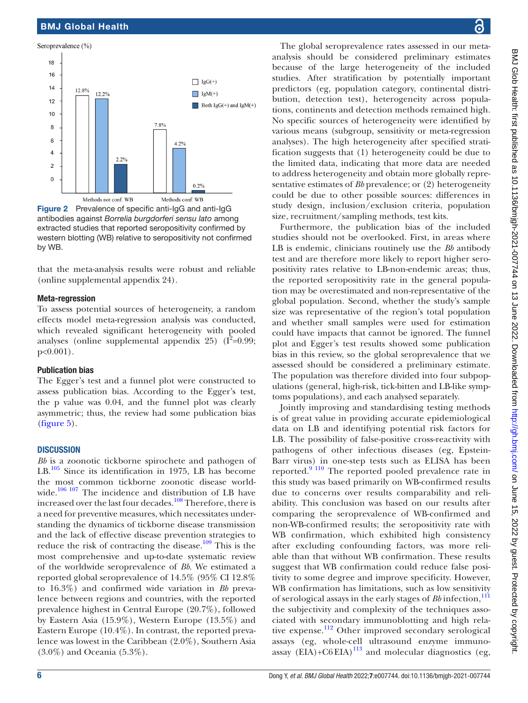#### Seroprevalence (%) 18 16  $\prod$  IgG(+)  $14$ 12.8%  $12.2%$  $\Box$  IgM(+)  $12$ Both  $\lg G(+)$  and  $\lg M(+)$  $10$  $7.8%$ 8 6  $4.2%$  $\overline{A}$  $2.2%$  $\overline{\mathbf{c}}$  $\Omega$  $0.2%$ Methods not conf. WB Methods conf. WB

<span id="page-5-0"></span>Figure 2 Prevalence of specific anti-IgG and anti-IgG antibodies against *Borrelia burgdorferi sensu lato* among extracted studies that reported seropositivity confirmed by western blotting (WB) relative to seropositivity not confirmed by WB.

that the meta-analysis results were robust and reliable ([online supplemental appendix 24](https://dx.doi.org/10.1136/bmjgh-2021-007744)).

#### Meta-regression

To assess potential sources of heterogeneity, a random effects model meta-regression analysis was conducted, which revealed significant heterogeneity with pooled analyses ([online supplemental appendix 25](https://dx.doi.org/10.1136/bmjgh-2021-007744))  $(I^2=0.99;$ p<0.001).

#### Publication bias

The Egger's test and a funnel plot were constructed to assess publication bias. According to the Egger's test, the p value was 0.04, and the funnel plot was clearly asymmetric; thus, the review had some publication bias ([figure](#page-8-2) 5).

#### **DISCUSSION**

*Bb* is a zoonotic tickborne spirochete and pathogen of LB.<sup>105</sup> Since its identification in 1975, LB has become the most common tickborne zoonotic disease world-wide.<sup>[106 107](#page-11-1)</sup> The incidence and distribution of LB have increased over the last four decades.<sup>[108](#page-11-2)</sup> Therefore, there is a need for preventive measures, which necessitates understanding the dynamics of tickborne disease transmission and the lack of effective disease prevention strategies to reduce the risk of contracting the disease.<sup>109</sup> This is the most comprehensive and up-to-date systematic review of the worldwide seroprevalence of *Bb*. We estimated a reported global seroprevalence of 14.5% (95% CI 12.8% to 16.3%) and confirmed wide variation in *Bb* prevalence between regions and countries, with the reported prevalence highest in Central Europe (20.7%), followed by Eastern Asia (15.9%), Western Europe (13.5%) and Eastern Europe (10.4%). In contrast, the reported prevalence was lowest in the Caribbean (2.0%), Southern Asia (3.0%) and Oceania (5.3%).

The global seroprevalence rates assessed in our metaanalysis should be considered preliminary estimates because of the large heterogeneity of the included studies. After stratification by potentially important predictors (eg, population category, continental distribution, detection test), heterogeneity across populations, continents and detection methods remained high. No specific sources of heterogeneity were identified by various means (subgroup, sensitivity or meta-regression analyses). The high heterogeneity after specified stratification suggests that (1) heterogeneity could be due to the limited data, indicating that more data are needed to address heterogeneity and obtain more globally representative estimates of *Bb* prevalence; or (2) heterogeneity could be due to other possible sources: differences in study design, inclusion/exclusion criteria, population size, recruitment/sampling methods, test kits.

Furthermore, the publication bias of the included studies should not be overlooked. First, in areas where LB is endemic, clinicians routinely use the *Bb* antibody test and are therefore more likely to report higher seropositivity rates relative to LB-non-endemic areas; thus, the reported seropositivity rate in the general population may be overestimated and non-representative of the global population. Second, whether the study's sample size was representative of the region's total population and whether small samples were used for estimation could have impacts that cannot be ignored. The funnel plot and Egger's test results showed some publication bias in this review, so the global seroprevalence that we assessed should be considered a preliminary estimate. The population was therefore divided into four subpopulations (general, high-risk, tick-bitten and LB-like symptoms populations), and each analysed separately.

Jointly improving and standardising testing methods is of great value in providing accurate epidemiological data on LB and identifying potential risk factors for LB. The possibility of false-positive cross-reactivity with pathogens of other infectious diseases (eg, Epstein-Barr virus) in one-step tests such as ELISA has been reported.<sup>9 110</sup> The reported pooled prevalence rate in this study was based primarily on WB-confirmed results due to concerns over results comparability and reliability. This conclusion was based on our results after comparing the seroprevalence of WB-confirmed and non-WB-confirmed results; the seropositivity rate with WB confirmation, which exhibited high consistency after excluding confounding factors, was more reliable than that without WB confirmation. These results suggest that WB confirmation could reduce false positivity to some degree and improve specificity. However, WB confirmation has limitations, such as low sensitivity of serological assays in the early stages of *Bb* infection,<sup>[111](#page-11-4)</sup> the subjectivity and complexity of the techniques associated with secondary immunoblotting and high rela-tive expense.<sup>[112](#page-11-5)</sup> Other improved secondary serological assays (eg, whole-cell ultrasound enzyme immuno- $\frac{1}{2}$  (ex),  $\frac{1}{2}$  and  $\frac{1}{2}$  and molecular diagnostics (eg,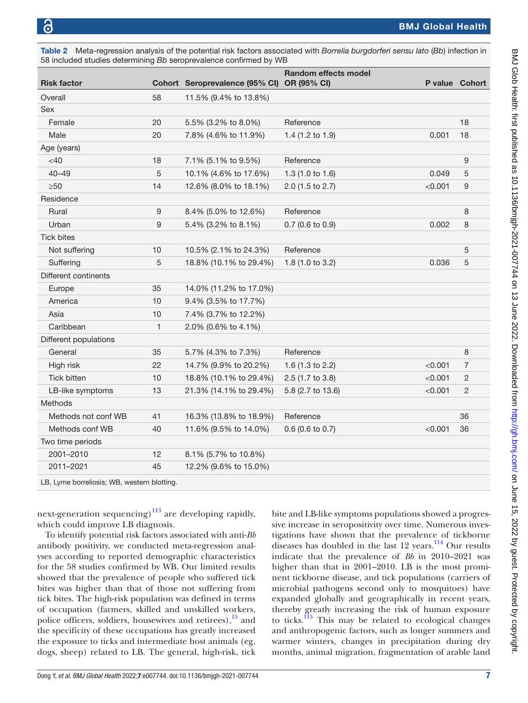Tick bites

Different continents

Different populations

Methods

Two time periods

LB, Lyme borreliosis; WB, western blotting.

<span id="page-6-0"></span>

| Table 2<br>58 included studies determining Bb seroprevalence confirmed by WB |    |                                            | Meta-regression analysis of the potential risk factors associated with <i>Borrelia burgdorferi sensu lato</i> (Bb) infection in |                       |    |
|------------------------------------------------------------------------------|----|--------------------------------------------|---------------------------------------------------------------------------------------------------------------------------------|-----------------------|----|
| <b>Risk factor</b>                                                           |    | Cohort Seroprevalence (95% CI) OR (95% CI) | <b>Random effects model</b>                                                                                                     | <b>P</b> value Cohort |    |
| Overall                                                                      | 58 | 11.5% (9.4% to 13.8%)                      |                                                                                                                                 |                       |    |
| <b>Sex</b>                                                                   |    |                                            |                                                                                                                                 |                       |    |
| Female                                                                       | 20 | 5.5% (3.2% to 8.0%)                        | Reference                                                                                                                       |                       | 18 |
| Male                                                                         | 20 | 7.8% (4.6% to 11.9%)                       | 1.4 $(1.2 \text{ to } 1.9)$                                                                                                     | 0.001                 | 18 |
| Age (years)                                                                  |    |                                            |                                                                                                                                 |                       |    |
| $<$ 40                                                                       | 18 | 7.1% (5.1% to 9.5%)                        | Reference                                                                                                                       |                       | 9  |
| $40 - 49$                                                                    | 5  | 10.1% (4.6% to 17.6%)                      | 1.3 $(1.0 \text{ to } 1.6)$                                                                                                     | 0.049                 | 5  |
| $\geq 50$                                                                    | 14 | 12.6% (8.0% to 18.1%)                      | $2.0$ (1.5 to 2.7)                                                                                                              | < 0.001               | 9  |
| Residence                                                                    |    |                                            |                                                                                                                                 |                       |    |

Rural 8 8.4% (5.0% to 12.6%) Reference 8 8.4% (5.0% to 12.6%) Urban 0.002 8 5.4% (3.2% to 8.1%) 0.7 (0.6 to 0.9) 0.002 8

Not suffering 10 10.5% (2.1% to 24.3%) Reference 5 Suffering 5 18.8% (10.1% to 29.4%) 1.8 (1.0 to 3.2) 0.036 5

General 35 5.7% (4.3% to 7.3%) Reference 8 8 High risk 22 14.7% (9.9% to 20.2%) 1.6 (1.3 to 2.2) <0.001 7 Tick bitten 10 18.8% (10.1% to 29.4%) 2.5 (1.7 to 3.8)  $\leq 0.001$  2 LB-like symptoms 13 21.3% (14.1% to 29.4%) 5.8 (2.7 to 13.6)  $\leq 0.001$  2

Methods not conf WB 41 16.3% (13.8% to 18.9%) Reference 36 Methods conf WB 40 11.6% (9.5% to 14.0%) 0.6 (0.6 to 0.7)  $<$  0.001 36

| next-generation sequencing) $^{113}$ are developing rapidly, | bit  |
|--------------------------------------------------------------|------|
| which could improve LB diagnosis.                            | sive |
| To identify potential risk factors associated with anti-Bb   | tiga |

2001–2010 12 8.1% (5.7% to 10.8%) 2011–2021 45 12.2% (9.6% to 15.0%)

Europe 35 14.0% (11.2% to 17.0%) America 10 9.4% (3.5% to 17.7%) Asia 10 7.4% (3.7% to 12.2%) Caribbean 1 2.0% (0.6% to 4.1%)

antibody positivity, we conducted meta-regression analyses according to reported demographic characteristics for the 58 studies confirmed by WB. Our limited results showed that the prevalence of people who suffered tick bites was higher than that of those not suffering from tick bites. The high-risk population was defined in terms of occupation (farmers, skilled and unskilled workers, police officers, soldiers, housewives and retirees), $\frac{15}{15}$  and the specificity of these occupations has greatly increased the exposure to ticks and intermediate host animals (eg, dogs, sheep) related to LB. The general, high-risk, tick

e and LB-like symptoms populations showed a progrese increase in seropositivity over time. Numerous invesgations have shown that the prevalence of tickborne diseases has doubled in the last 12 years.<sup>114</sup> Our results indicate that the prevalence of *Bb* in 2010–2021 was higher than that in 2001–2010. LB is the most prominent tickborne disease, and tick populations (carriers of microbial pathogens second only to mosquitoes) have expanded globally and geographically in recent years, thereby greatly increasing the risk of human exposure to ticks.<sup>115</sup> This may be related to ecological changes and anthropogenic factors, such as longer summers and warmer winters, changes in precipitation during dry months, animal migration, fragmentation of arable land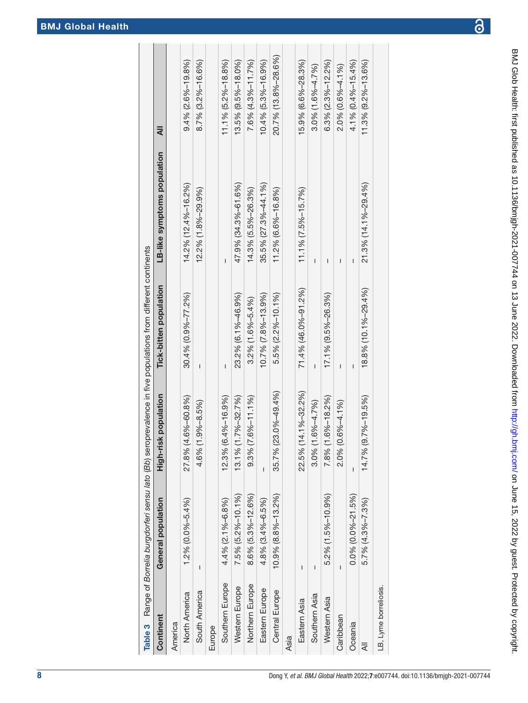BMJ Glob Health: first published as 10.1136/bmjgh-2021-00*774*4 on 13 June 2022. Downloaded from <http://gh.bmj.com/> on June 15, 2022 by guest. Protected by copyright

BMJ Glob Health: first published as 10.1136/bmigh-2021-007744 on 13 June 2022. Downloaded from http://gh.bmj.com/ on June 15, 2022 by guest. Protected by copyright.

<span id="page-7-0"></span>

|                       |                             |                          | Table 3 Range of Borrelia burgdorferi sensu lato (Bb) seroprevalence in five populations from different continents |                             |                          |
|-----------------------|-----------------------------|--------------------------|--------------------------------------------------------------------------------------------------------------------|-----------------------------|--------------------------|
| Continent             | General population          | population<br>High-risk  | Tick-bitten population                                                                                             | LB-like symptoms population | ₹                        |
| America               |                             |                          |                                                                                                                    |                             |                          |
| North America         | $1.2\%$ (0.0%-5.4%)         | 27.8% (4.6%-60.8%)       | 30.4% (0.9%-77.2%)                                                                                                 | 14.2% (12.4%-16.2%)         | $9.4\%$ (2.6%-19.8%)     |
| South America         | I                           | 4.6% (1.9%-8.5%)         | I                                                                                                                  | 12.2% (1.8%-29.9%)          | 8.7% (3.2%-16.6%)        |
| Europe                |                             |                          |                                                                                                                    |                             |                          |
| Southern Europe       | 4.4% (2.1%-6.8%)            | 12.3% (6.4%-16.9%)       | I                                                                                                                  | I                           | $11.1\%$ (5.2%-18.8%)    |
| Western Europe        | 7.5% (5.2%-10.1%)           | 13.1% (1.7%-32.7%)       | 23.2% (6.1%-46.9%)                                                                                                 | 47.9% (34.3%-61.6%)         | 13.5% (9.5%-18.0%)       |
| Northern Europe       | 8.6% (5.3%-12.6%)           | $9.3\%$ (7.6%-11.1%)     | $3.2\%$ (1.6%-5.4%)                                                                                                | 14.3% (5.5%-26.3%)          | 7.6% (4.3%-11.7%)        |
| Eastern Europe        | 4.8% (3.4%-6.5%)            | I                        | 10.7% (7.8%-13.9%)                                                                                                 | 35.5% (27.3%-44.1%)         | 10.4% (5.3%-16.9%)       |
| Central Europe        | $10.9\%$ $(8.8\% - 13.2\%)$ | 35.7% (23.0%-49.4%)      | $5.5\%$ (2.2%-10.1%)                                                                                               | 11.2% (6.6%-16.8%)          | 20.7% (13.8%-28.6%)      |
| Asia                  |                             |                          |                                                                                                                    |                             |                          |
| Eastern Asia          | I                           | 22.5% (14.1%-32.2%)      | 71.4% (46.0%-91.2%)                                                                                                | $11.1%$ $(7.5% - 15.7%)$    | 15.9% (6.6%-28.3%)       |
| Southern Asia         | I                           | $3.0\%$ (1.6% $-4.7\%$ ) | I                                                                                                                  | ı                           | $3.0\%$ (1.6% $-4.7\%$ ) |
| Western Asia          | 5.2% (1.5%-10.9%)           | 78% (1.6%-18.2%)         | 17.1% (9.5%-26.3%)                                                                                                 | I                           | $6.3\%$ (2.3%-12.2%)     |
| Caribbean             | I                           | 2.0% (0.6%-4.1%)         | ı                                                                                                                  | I                           | 2.0% (0.6%-4.1%)         |
| Oceania               | $0.0\%$ (0.0%-21.5%)        | I                        | I                                                                                                                  | I                           | 4.1% (0.4%-15.4%)        |
| ₹                     | $5.7\%$ (4.3%-7.3%)         | 14.7% (9.7%-19.5%)       | 18.8% (10.1%-29.4%)                                                                                                | 21.3% (14.1%-29.4%)         | 11.3% (9.2%-13.6%)       |
| LB, Lyme borreliosis. |                             |                          |                                                                                                                    |                             |                          |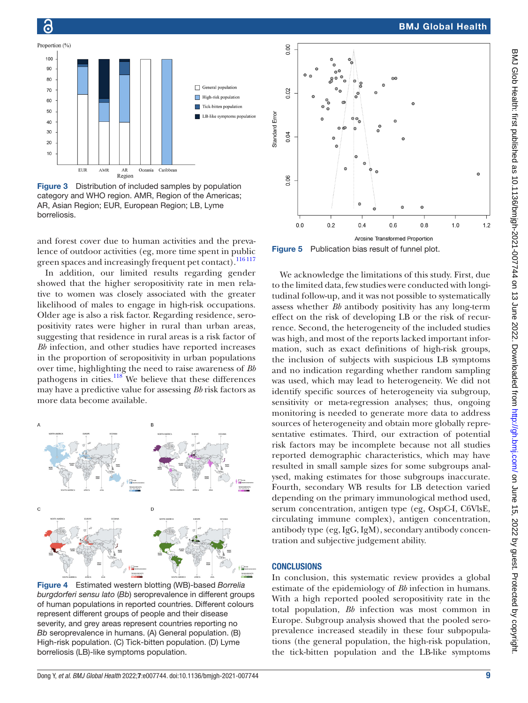



Õ

<span id="page-8-0"></span>Figure 3 Distribution of included samples by population category and WHO region. AMR, Region of the Americas; AR, Asian Region; EUR, European Region; LB, Lyme borreliosis.

and forest cover due to human activities and the prevalence of outdoor activities (eg, more time spent in public green spaces and increasingly frequent pet contact).<sup>116 117</sup>

In addition, our limited results regarding gender showed that the higher seropositivity rate in men relative to women was closely associated with the greater likelihood of males to engage in high-risk occupations. Older age is also a risk factor. Regarding residence, seropositivity rates were higher in rural than urban areas, suggesting that residence in rural areas is a risk factor of *Bb* infection, and other studies have reported increases in the proportion of seropositivity in urban populations over time, highlighting the need to raise awareness of *Bb* pathogens in cities.<sup>[118](#page-11-10)</sup> We believe that these differences may have a predictive value for assessing *Bb* risk factors as more data become available.



<span id="page-8-1"></span>Figure 4 Estimated western blotting (WB)-based *Borrelia burgdorferi sensu lato* (*Bb*) seroprevalence in different groups of human populations in reported countries. Different colours represent different groups of people and their disease severity, and grey areas represent countries reporting no *Bb* seroprevalence in humans. (A) General population. (B) High-risk population. (C) Tick-bitten population. (D) Lyme borreliosis (LB)-like symptoms population.



<span id="page-8-2"></span>Figure 5 Publication bias result of funnel plot.

We acknowledge the limitations of this study. First, due to the limited data, few studies were conducted with longitudinal follow-up, and it was not possible to systematically assess whether *Bb* antibody positivity has any long-term effect on the risk of developing LB or the risk of recurrence. Second, the heterogeneity of the included studies was high, and most of the reports lacked important information, such as exact definitions of high-risk groups, the inclusion of subjects with suspicious LB symptoms and no indication regarding whether random sampling was used, which may lead to heterogeneity. We did not identify specific sources of heterogeneity via subgroup, sensitivity or meta-regression analyses; thus, ongoing monitoring is needed to generate more data to address sources of heterogeneity and obtain more globally representative estimates. Third, our extraction of potential risk factors may be incomplete because not all studies reported demographic characteristics, which may have resulted in small sample sizes for some subgroups analysed, making estimates for those subgroups inaccurate. Fourth, secondary WB results for LB detection varied depending on the primary immunological method used, serum concentration, antigen type (eg, OspC-I, C6VlsE, circulating immune complex), antigen concentration, antibody type (eg, IgG, IgM), secondary antibody concentration and subjective judgement ability.

#### **CONCLUSIONS**

In conclusion, this systematic review provides a global estimate of the epidemiology of *Bb* infection in humans. With a high reported pooled seropositivity rate in the total population, *Bb* infection was most common in Europe. Subgroup analysis showed that the pooled seroprevalence increased steadily in these four subpopulations (the general population, the high-risk population, the tick-bitten population and the LB-like symptoms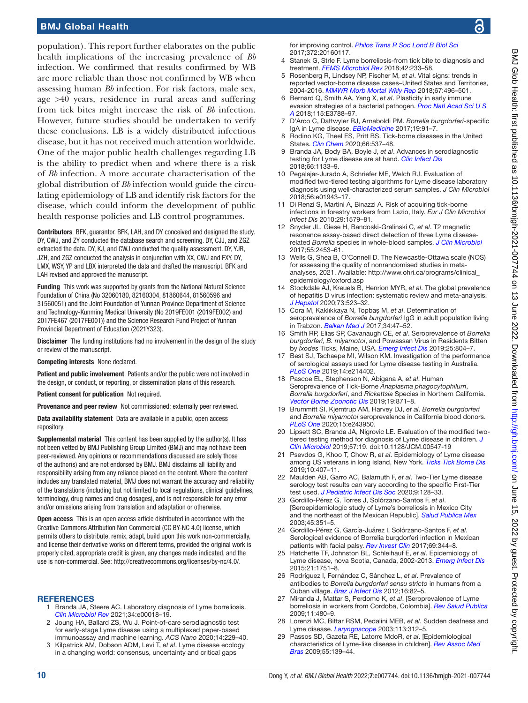population). This report further elaborates on the public health implications of the increasing prevalence of *Bb* infection. We confirmed that results confirmed by WB are more reliable than those not confirmed by WB when assessing human *Bb* infection. For risk factors, male sex, age >40 years, residence in rural areas and suffering from tick bites might increase the risk of *Bb* infection. However, future studies should be undertaken to verify these conclusions. LB is a widely distributed infectious disease, but it has not received much attention worldwide. One of the major public health challenges regarding LB is the ability to predict when and where there is a risk of *Bb* infection. A more accurate characterisation of the global distribution of *Bb* infection would guide the circulating epidemiology of LB and identify risk factors for the disease, which could inform the development of public health response policies and LB control programmes.

Contributors BFK, guarantor. BFK, LAH, and DY conceived and designed the study. DY, CWJ, and ZY conducted the database search and screening. DY, CJJ, and ZGZ extracted the data. DY, KJ, and CWJ conducted the quality assessment. DY, YJR, JZH, and ZGZ conducted the analysis in conjunction with XX, CWJ and FXY. DY, LMX, WSY, YP and LBX interpreted the data and drafted the manuscript. BFK and LAH revised and approved the manuscript.

Funding This work was supported by grants from the National Natural Science Foundation of China (No 32060180, 82160304, 81860644, 81560596 and 31560051) and the Joint Foundation of Yunnan Province Department of Science and Technology-Kunming Medical University (No 2019FE001 (2019FE002) and 2017FE467 (2017FE001)) and the Science Research Fund Project of Yunnan Provincial Department of Education (2021Y323).

Disclaimer The funding institutions had no involvement in the design of the study or review of the manuscript.

Competing interests None declared.

Patient and public involvement Patients and/or the public were not involved in the design, or conduct, or reporting, or dissemination plans of this research.

Patient consent for publication Not required.

Provenance and peer review Not commissioned; externally peer reviewed.

Data availability statement Data are available in a public, open access repository.

Supplemental material This content has been supplied by the author(s). It has not been vetted by BMJ Publishing Group Limited (BMJ) and may not have been peer-reviewed. Any opinions or recommendations discussed are solely those of the author(s) and are not endorsed by BMJ. BMJ disclaims all liability and responsibility arising from any reliance placed on the content. Where the content includes any translated material, BMJ does not warrant the accuracy and reliability of the translations (including but not limited to local regulations, clinical guidelines, terminology, drug names and drug dosages), and is not responsible for any error and/or omissions arising from translation and adaptation or otherwise.

Open access This is an open access article distributed in accordance with the Creative Commons Attribution Non Commercial (CC BY-NC 4.0) license, which permits others to distribute, remix, adapt, build upon this work non-commercially, and license their derivative works on different terms, provided the original work is properly cited, appropriate credit is given, any changes made indicated, and the use is non-commercial. See: [http://creativecommons.org/licenses/by-nc/4.0/.](http://creativecommons.org/licenses/by-nc/4.0/)

#### <span id="page-9-0"></span>**REFERENCES**

- 1 Branda JA, Steere AC. Laboratory diagnosis of Lyme borreliosis. *[Clin Microbiol Rev](http://dx.doi.org/10.1128/CMR.00018-19)* 2021;34:e00018–19.
- 2 Joung HA, Ballard ZS, Wu J. Point-of-care serodiagnostic test for early-stage Lyme disease using a multiplexed paper-based immunoassay and machine learning. *ACS Nano* 2020;14:229–40.
- 3 Kilpatrick AM, Dobson ADM, Levi T, *et al*. Lyme disease ecology in a changing world: consensus, uncertainty and critical gaps

for improving control. *[Philos Trans R Soc Lond B Biol Sci](http://dx.doi.org/10.1098/rstb.2016.0117)* 2017;372:20160117.

- <span id="page-9-1"></span>Stanek G, Strle F. Lyme borreliosis-from tick bite to diagnosis and treatment. *[FEMS Microbiol Rev](http://dx.doi.org/10.1093/femsre/fux047)* 2018;42:233–58.
- <span id="page-9-2"></span>5 Rosenberg R, Lindsey NP, Fischer M, *et al*. Vital signs: trends in reported vector-borne disease cases–United States and Territories, 2004-2016. *[MMWR Morb Mortal Wkly Rep](http://dx.doi.org/10.15585/mmwr.mm6717e1)* 2018;67:496–501.
- <span id="page-9-3"></span>6 Bernard Q, Smith AA, Yang X, *et al*. Plasticity in early immune evasion strategies of a bacterial pathogen. *[Proc Natl Acad Sci U S](http://dx.doi.org/10.1073/pnas.1718595115)  [A](http://dx.doi.org/10.1073/pnas.1718595115)* 2018;115:E3788–97.
- 7 D'Arco C, Dattwyler RJ, Arnaboldi PM. *Borrelia burgdorferi*-specific IgA in Lyme disease. *[EBioMedicine](http://dx.doi.org/10.1016/j.ebiom.2017.04.025)* 2017;19:91–7.
- <span id="page-9-4"></span>Rodino KG, Theel ES, Pritt BS. Tick-borne diseases in the United States. *[Clin Chem](http://dx.doi.org/10.1093/clinchem/hvaa040)* 2020;66:537–48.
- <span id="page-9-5"></span>9 Branda JA, Body BA, Boyle J, *et al*. Advances in serodiagnostic testing for Lyme disease are at hand. *[Clin Infect Dis](http://dx.doi.org/10.1093/cid/cix943)* 2018;66:1133–9.
- 10 Pegalajar-Jurado A, Schriefer ME, Welch RJ. Evaluation of modified two-tiered testing algorithms for Lyme disease laboratory diagnosis using well-characterized serum samples. *J Clin Microbiol* 2018;56:e01943–17.
- <span id="page-9-6"></span>11 Di Renzi S, Martini A, Binazzi A. Risk of acquiring tick-borne infections in forestry workers from Lazio, Italy. *Eur J Clin Microbiol Infect Dis* 2010;29:1579–81.
- 12 Snyder JL, Giese H, Bandoski-Gralinski C, *et al*. T2 magnetic resonance assay-based direct detection of three Lyme diseaserelated *Borrelia* species in whole-blood samples. *[J Clin Microbiol](http://dx.doi.org/10.1128/JCM.00510-17)* 2017;55:2453–61.
- <span id="page-9-7"></span>13 Wells G, Shea B, O'Connell D. The Newcastle-Ottawa scale (NOS) for assessing the quality of nonrandomised studies in metaanalyses, 2021. Available: [http://www.ohri.ca/programs/clinical\\_](http://www.ohri.ca/programs/clinical_epidemiology/oxford.asp) [epidemiology/oxford.asp](http://www.ohri.ca/programs/clinical_epidemiology/oxford.asp)
- 14 Stockdale AJ, Kreuels B, Henrion MYR, *et al*. The global prevalence of hepatitis D virus infection: systematic review and meta-analysis. *[J Hepatol](http://dx.doi.org/10.1016/j.jhep.2020.04.008)* 2020;73:523–32.
- <span id="page-9-8"></span>15 Cora M, Kaklıkkaya N, Topbaş M, *et al*. Determination of seroprevalence of *Borrelia burgdorferi* IgG in adult population living in Trabzon. *[Balkan Med J](http://dx.doi.org/10.4274/balkanmedj.2015.0478)* 2017;34:47–52.
- <span id="page-9-9"></span>16 Smith RP, Elias SP, Cavanaugh CE, *et al*. Seroprevalence of *Borrelia burgdorferi, B. miyamotoi*, and Powassan Virus in Residents Bitten by *Ixodes* Ticks, Maine, USA. *[Emerg Infect Dis](http://dx.doi.org/10.3201/eid2504.180202)* 2019;25:804–7.
- 17 Best SJ, Tschaepe MI, Wilson KM. Investigation of the performance of serological assays used for Lyme disease testing in Australia. *[PLoS One](http://dx.doi.org/10.1371/journal.pone.0214402)* 2019;14:e214402.
- 18 Pascoe EL, Stephenson N, Abigana A, *et al*. Human Seroprevalence of Tick-Borne *Anaplasma phagocytophilum*, *Borrelia burgdorferi*, and *Rickettsia* Species in Northern California. *[Vector Borne Zoonotic Dis](http://dx.doi.org/10.1089/vbz.2019.2489)* 2019;19:871–8.
- 19 Brummitt SI, Kjemtrup AM, Harvey DJ, *et al*. *Borrelia burgdorferi* and *Borrelia miyamotoi* seroprevalence in California blood donors. *[PLoS One](http://dx.doi.org/10.1371/journal.pone.0243950)* 2020;15:e243950.
- 20 Lipsett SC, Branda JA, Nigrovic LE. Evaluation of the modified twotiered testing method for diagnosis of Lyme disease in children. *[J](http://dx.doi.org/10.1128/JCM.00547-19)  [Clin Microbiol](http://dx.doi.org/10.1128/JCM.00547-19)* 2019;57:19. doi:10.1128/JCM.00547-19
- 21 Psevdos G, Khoo T, Chow R, *et al*. Epidemiology of Lyme disease among US veterans in long Island, New York. *[Ticks Tick Borne Dis](http://dx.doi.org/10.1016/j.ttbdis.2018.12.003)* 2019;10:407–11.
- 22 Maulden AB, Garro AC, Balamuth F, *et al*. Two-Tier Lyme disease serology test results can vary according to the specific First-Tier test used. *[J Pediatric Infect Dis Soc](http://dx.doi.org/10.1093/jpids/piy133)* 2020;9:128–33.
- 23 Gordillo-Pérez G, Torres J, Solórzano-Santos F, *et al*. [Seroepidemiologic study of Lyme's borreliosis in Mexico City and the northeast of the Mexican Republic]. *[Salud Publica Mex](http://www.ncbi.nlm.nih.gov/pubmed/14628614)* 2003;45:351–5.
- 24 Gordillo-Pérez G, García-Juárez I, Solórzano-Santos F, *et al*. Serological evidence of Borrelia burgdorferi infection in Mexican patients with facial palsy. *[Rev Invest Clin](http://dx.doi.org/10.24875/RIC.17002344)* 2017;69:344–8.
- 25 Hatchette TF, Johnston BL, Schleihauf E, *et al*. Epidemiology of Lyme disease, nova Scotia, Canada, 2002-2013. *[Emerg Infect Dis](http://dx.doi.org/10.3201/eid2110.141640)* 2015;21:1751–8.
- 26 Rodríguez I, Fernández C, Sánchez L, *et al*. Prevalence of antibodies to *Borrelia burgdorferi sensu stricto* in humans from a Cuban village. *[Braz J Infect Dis](http://dx.doi.org/10.1016/s1413-8670(12)70280-5)* 2012;16:82–5.
- 27 Miranda J, Mattar S, Perdomo K, *et al*. [Seroprevalence of Lyme borreliosis in workers from Cordoba, Colombia]. *[Rev Salud Publica](http://dx.doi.org/10.1590/s0124-00642009000300016)* 2009;11:480–9.
- 28 Lorenzi MC, Bittar RSM, Pedalini MEB, *et al*. Sudden deafness and Lyme disease. *[Laryngoscope](http://dx.doi.org/10.1097/00005537-200302000-00021)* 2003;113:312–5.
- 29 Passos SD, Gazeta RE, Latorre MdoR, *et al*. [Epidemiological characteristics of Lyme-like disease in children]. *[Rev Assoc Med](http://dx.doi.org/10.1590/s0104-42302009000200015)  [Bras](http://dx.doi.org/10.1590/s0104-42302009000200015)* 2009;55:139–44.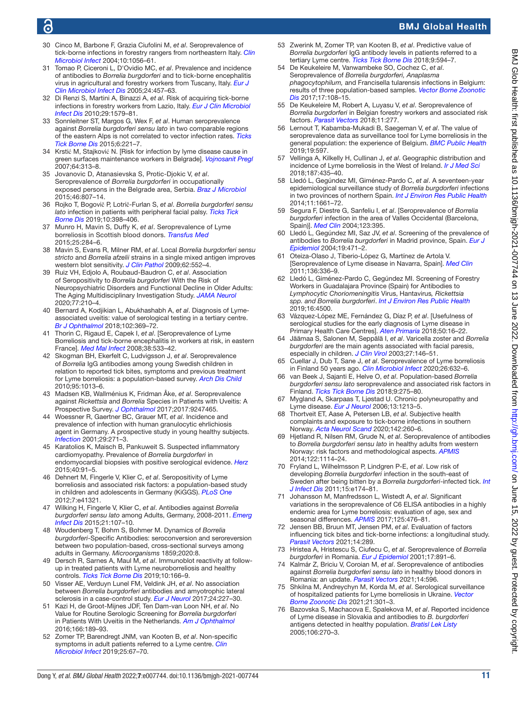## G

## BMJ Global Health

- 30 Cinco M, Barbone F, Grazia Ciufolini M, *et al*. Seroprevalence of tick-borne infections in forestry rangers from northeastern Italy. *[Clin](http://dx.doi.org/10.1111/j.1469-0691.2004.01026.x)  [Microbiol Infect](http://dx.doi.org/10.1111/j.1469-0691.2004.01026.x)* 2004;10:1056–61.
- 31 Tomao P, Ciceroni L, D'Ovidio MC, *et al*. Prevalence and incidence of antibodies to *Borrelia burgdorferi* and to tick-borne encephalitis virus in agricultural and forestry workers from Tuscany, Italy. *[Eur J](http://dx.doi.org/10.1007/s10096-005-1348-0)  [Clin Microbiol Infect Dis](http://dx.doi.org/10.1007/s10096-005-1348-0)* 2005;24:457–63.
- 32 Di Renzi S, Martini A, Binazzi A, *et al*. Risk of acquiring tick-borne infections in forestry workers from Lazio, Italy. *[Eur J Clin Microbiol](http://dx.doi.org/10.1007/s10096-010-1028-6)  [Infect Dis](http://dx.doi.org/10.1007/s10096-010-1028-6)* 2010;29:1579–81.
- 33 Sonnleitner ST, Margos G, Wex F, *et al*. Human seroprevalence against *Borrelia burgdorferi sensu lato* in two comparable regions of the eastern Alps is not correlated to vector infection rates. *[Ticks](http://dx.doi.org/10.1016/j.ttbdis.2014.12.006)  [Tick Borne Dis](http://dx.doi.org/10.1016/j.ttbdis.2014.12.006)* 2015;6:221–7.
- 34 Krstić M, Stajković N. [Risk for infection by lyme disease cause in green surfaces maintenance workers in Belgrade]. *[Vojnosanit Pregl](http://dx.doi.org/10.2298/vsp0705313k)* 2007;64:313–8.
- 35 Jovanovic D, Atanasievska S, Protic-Djokic V, *et al*. Seroprevalence of *Borrelia burgdorferi* in occupationally exposed persons in the Belgrade area, Serbia. *[Braz J Microbiol](http://dx.doi.org/10.1590/S1517-838246320140698)* 2015;46:807–14.
- 36 Rojko T, Bogovič P, Lotrič-Furlan S, *et al*. *Borrelia burgdorferi sensu lato* infection in patients with peripheral facial palsy. *[Ticks Tick](http://dx.doi.org/10.1016/j.ttbdis.2018.11.019)  [Borne Dis](http://dx.doi.org/10.1016/j.ttbdis.2018.11.019)* 2019;10:398–406.
- 37 Munro H, Mavin S, Duffy K, *et al*. Seroprevalence of Lyme borreliosis in Scottish blood donors. *[Transfus Med](http://dx.doi.org/10.1111/tme.12197)* 2015;25:284–6.
- 38 Mavin S, Evans R, Milner RM, *et al*. Local *Borrelia burgdorferi sensu stricto* and *Borrelia afzelii* strains in a single mixed antigen improves western blot sensitivity. *[J Clin Pathol](http://dx.doi.org/10.1136/jcp.2008.063461)* 2009;62:552–4.
- 39 Ruiz VH, Edjolo A, Roubaud-Baudron C, *et al*. Association of Seropositivity to *Borrelia burgdorferi* With the Risk of Neuropsychiatric Disorders and Functional Decline in Older Adults: The Aging Multidisciplinary Investigation Study. *[JAMA Neurol](http://dx.doi.org/10.1001/jamaneurol.2019.3292)* 2020;77:210–4.
- 40 Bernard A, Kodjikian L, Abukhashabh A, *et al*. Diagnosis of Lymeassociated uveitis: value of serological testing in a tertiary centre. *[Br J Ophthalmol](http://dx.doi.org/10.1136/bjophthalmol-2017-310251)* 2018;102:369–72.
- 41 Thorin C, Rigaud E, Capek I, *et al*. [Seroprevalence of Lyme Borreliosis and tick-borne encephalitis in workers at risk, in eastern France]. *[Med Mal Infect](http://dx.doi.org/10.1016/j.medmal.2008.06.008)* 2008;38:533–42.
- 42 Skogman BH, Ekerfelt C, Ludvigsson J, *et al*. Seroprevalence of *Borrelia* IgG antibodies among young Swedish children in relation to reported tick bites, symptoms and previous treatment for Lyme borreliosis: a population-based survey. *[Arch Dis Child](http://dx.doi.org/10.1136/adc.2010.183624)* 2010;95:1013–6.
- 43 Madsen KB, Wallménius K, Fridman Åke, *et al*. Seroprevalence against *Rickettsia* and *Borrelia* Species in Patients with Uveitis: A Prospective Survey. *[J Ophthalmol](http://dx.doi.org/10.1155/2017/9247465)* 2017;2017:9247465.
- 44 Woessner R, Gaertner BC, Grauer MT, *et al*. Incidence and prevalence of infection with human granulocytic ehrlichiosis agent in Germany. A prospective study in young healthy subjects. *[Infection](http://dx.doi.org/10.1007/s15010-001-2005-x)* 2001;29:271–3.
- 45 Karatolios K, Maisch B, Pankuweit S. Suspected inflammatory cardiomyopathy. Prevalence of *Borrelia burgdorferi* in endomyocardial biopsies with positive serological evidence. *[Herz](http://dx.doi.org/10.1007/s00059-014-4118-x)* 2015;40:91–5.
- 46 Dehnert M, Fingerle V, Klier C, *et al*. Seropositivity of Lyme borreliosis and associated risk factors: a population-based study in children and adolescents in Germany (KiGGS). *[PLoS One](http://dx.doi.org/10.1371/journal.pone.0041321)* 2012;7:e41321.
- 47 Wilking H, Fingerle V, Klier C, *et al*. Antibodies against *Borrelia burgdorferi sensu lato* among Adults, Germany, 2008-2011. *[Emerg](http://dx.doi.org/10.3201/eid2101.140009)  [Infect Dis](http://dx.doi.org/10.3201/eid2101.140009)* 2015;21:107–10.
- 48 Woudenberg T, Bohm S, Bohmer M. Dynamics of *Borrelia burgdorferi*-Specific Antibodies: seroconversion and seroreversion between two population-based, cross-sectional surveys among adults in Germany. *Microorganisms* 1859;2020:8.
- 49 Dersch R, Sarnes A, Maul M, *et al*. Immunoblot reactivity at followup in treated patients with Lyme neuroborreliosis and healthy controls. *[Ticks Tick Borne Dis](http://dx.doi.org/10.1016/j.ttbdis.2018.09.011)* 2019;10:166–9.
- 50 Visser AE, Verduyn Lunel FM, Veldink JH, *et al*. No association between *Borrelia burgdorferi* antibodies and amyotrophic lateral sclerosis in a case-control study. *[Eur J Neurol](http://dx.doi.org/10.1111/ene.13197)* 2017;24:227–30.
- 51 Kazi H, de Groot-Mijnes JDF, Ten Dam-van Loon NH, *et al*. No Value for Routine Serologic Screening for *Borrelia burgdorferi* in Patients With Uveitis in the Netherlands. *[Am J Ophthalmol](http://dx.doi.org/10.1016/j.ajo.2016.04.002)* 2016;166:189–93.
- 52 Zomer TP, Barendregt JNM, van Kooten B, *et al*. Non-specific symptoms in adult patients referred to a Lyme centre. *[Clin](http://dx.doi.org/10.1016/j.cmi.2018.09.016)  [Microbiol Infect](http://dx.doi.org/10.1016/j.cmi.2018.09.016)* 2019;25:67–70.
- 53 Zwerink M, Zomer TP, van Kooten B, *et al*. Predictive value of *Borrelia burgdorferi* IgG antibody levels in patients referred to a tertiary Lyme centre. *[Ticks Tick Borne Dis](http://dx.doi.org/10.1016/j.ttbdis.2017.12.014)* 2018;9:594–7.
- 54 De Keukeleire M, Vanwambeke SO, Cochez C, *et al*. Seroprevalence of *Borrelia burgdorferi, Anaplasma phagocytophilum,* and Francisella tularensis infections in Belgium: results of three population-based samples. *[Vector Borne Zoonotic](http://dx.doi.org/10.1089/vbz.2016.1954)  [Dis](http://dx.doi.org/10.1089/vbz.2016.1954)* 2017;17:108–15.
- 55 De Keukeleire M, Robert A, Luyasu V, *et al*. Seroprevalence of *Borrelia burgdorferi* in Belgian forestry workers and associated risk factors. *[Parasit Vectors](http://dx.doi.org/10.1186/s13071-018-2860-2)* 2018;11:277.
- 56 Lernout T, Kabamba-Mukadi B, Saegeman V, *et al*. The value of seroprevalence data as surveillance tool for Lyme borreliosis in the general population: the experience of Belgium. *[BMC Public Health](http://dx.doi.org/10.1186/s12889-019-6914-y)* 2019;19:597.
- 57 Vellinga A, Kilkelly H, Cullinan J, *et al*. Geographic distribution and incidence of Lyme borreliosis in the West of Ireland. *[Ir J Med Sci](http://dx.doi.org/10.1007/s11845-017-1700-2)* 2018;187:435–40.
- 58 Lledó L, Gegúndez MI, Giménez-Pardo C, *et al*. A seventeen-year epidemiological surveillance study of *Borrelia burgdorferi* infections in two provinces of northern Spain. *[Int J Environ Res Public Health](http://dx.doi.org/10.3390/ijerph110201661)* 2014;11:1661–72.
- 59 Segura F, Diestre G, Sanfeliu I, *et al*. [Seroprevalence of *Borrelia burgdorferi* infection in the area of Valles Occidental (Barcelona, Spain)]. *[Med Clin](http://dx.doi.org/10.1016/s0025-7753(04)74527-3)* 2004;123:395.
- 60 Lledó L, Gegúndez MI, Saz JV, *et al*. Screening of the prevalence of antibodies to *Borrelia burgdorferi* in Madrid province, Spain. *[Eur J](http://dx.doi.org/10.1023/b:ejep.0000027349.48337.cb)  [Epidemiol](http://dx.doi.org/10.1023/b:ejep.0000027349.48337.cb)* 2004;19:471–2.
- 61 Oteiza-Olaso J, Tiberio-López G, Martínez de Artola V. [Seroprevalence of Lyme disease in Navarra, Spain]. *[Med Clin](http://dx.doi.org/10.1016/j.medcli.2010.06.008)* 2011;136:336–9.
- 62 Lledó L, Giménez-Pardo C, Gegúndez MI. Screening of Forestry Workers in Guadalajara Province (Spain) for Antibodies to *Lymphocytic Choriomeningitis* Virus, Hantavirus*, Rickettsia spp. and Borrelia burgdorferi*. *[Int J Environ Res Public Health](http://dx.doi.org/10.3390/ijerph16224500)* 2019;16:4500.
- 63 Vázquez-López ME, Fernández G, Díaz P, *et al*. [Usefulness of serological studies for the early diagnosis of Lyme disease in Primary Health Care Centres]. *[Aten Primaria](http://dx.doi.org/10.1016/j.aprim.2017.01.008)* 2018;50:16–22.
- 64 Jäämaa S, Salonen M, Seppälä I, *et al*. Varicella zoster and *Borrelia burgdorferi* are the main agents associated with facial paresis, especially in children. *[J Clin Virol](http://dx.doi.org/10.1016/s1386-6532(02)00169-5)* 2003;27:146–51.
- 65 Cuellar J, Dub T, Sane J, *et al*. Seroprevalence of Lyme borreliosis in Finland 50 years ago. *[Clin Microbiol Infect](http://dx.doi.org/10.1016/j.cmi.2019.10.003)* 2020;26:632–6.
- 66 van Beek J, Sajanti E, Helve O, *et al*. Population-based *Borrelia burgdorferi sensu lato* seroprevalence and associated risk factors in Finland. *[Ticks Tick Borne Dis](http://dx.doi.org/10.1016/j.ttbdis.2017.10.018)* 2018;9:275–80.
- 67 Mygland A, Skarpaas T, Ljøstad U. Chronic polyneuropathy and Lyme disease. *[Eur J Neurol](http://dx.doi.org/10.1111/j.1468-1331.2006.01395.x)* 2006;13:1213–5.
- 68 Thortveit ET, Aase A, Petersen LB, *et al*. Subjective health complaints and exposure to tick-borne infections in southern Norway. *[Acta Neurol Scand](http://dx.doi.org/10.1111/ane.13263)* 2020;142:260–6.
- 69 Hjetland R, Nilsen RM, Grude N, *et al*. Seroprevalence of antibodies to *Borrelia burgdorferi sensu lato* in healthy adults from western Norway: risk factors and methodological aspects. *[APMIS](http://dx.doi.org/10.1111/apm.12267)* 2014;122:1114–24.
- 70 Fryland L, Wilhelmsson P, Lindgren P-E, *et al*. Low risk of developing *Borrelia burgdorferi* infection in the south-east of Sweden after being bitten by a *Borrelia burgdorferi*-infected tick. *[Int](http://dx.doi.org/10.1016/j.ijid.2010.10.006) [J Infect Dis](http://dx.doi.org/10.1016/j.ijid.2010.10.006)* 2011;15:e174–81.
- 71 Johansson M, Manfredsson L, Wistedt A, *et al*. Significant variations in the seroprevalence of C6 ELISA antibodies in a highly endemic area for Lyme borreliosis: evaluation of age, sex and seasonal differences. *[APMIS](http://dx.doi.org/10.1111/apm.12664)* 2017;125:476–81.
- 72 Jensen BB, Bruun MT, Jensen PM, *et al*. Evaluation of factors influencing tick bites and tick-borne infections: a longitudinal study. *[Parasit Vectors](http://dx.doi.org/10.1186/s13071-021-04751-0)* 2021;14:289.
- 73 Hristea A, Hristescu S, Ciufecu C, *et al*. Seroprevalence of *Borrelia burgdorferi* in Romania. *[Eur J Epidemiol](http://dx.doi.org/10.1023/a:1015600729900)* 2001;17:891–6.
- 74 Kalmár Z, Briciu V, Coroian M, *et al*. Seroprevalence of antibodies against *Borrelia burgdorferi sensu lato* in healthy blood donors in Romania: an update. *[Parasit Vectors](http://dx.doi.org/10.1186/s13071-021-05099-1)* 2021;14:596.
- 75 Shkilna M, Andreychyn M, Korda M, *et al*. Serological surveillance of hospitalized patients for Lyme borreliosis in Ukraine. *[Vector](http://dx.doi.org/10.1089/vbz.2020.2715)  [Borne Zoonotic Dis](http://dx.doi.org/10.1089/vbz.2020.2715)* 2021;21:301–3.
- 76 Bazovska S, Machacova E, Spalekova M, *et al*. Reported incidence of Lyme disease in Slovakia and antibodies to *B. burgdorferi* antigens detected in healthy population. *[Bratisl Lek Listy](http://www.ncbi.nlm.nih.gov/pubmed/16457044)* 2005;106:270–3.